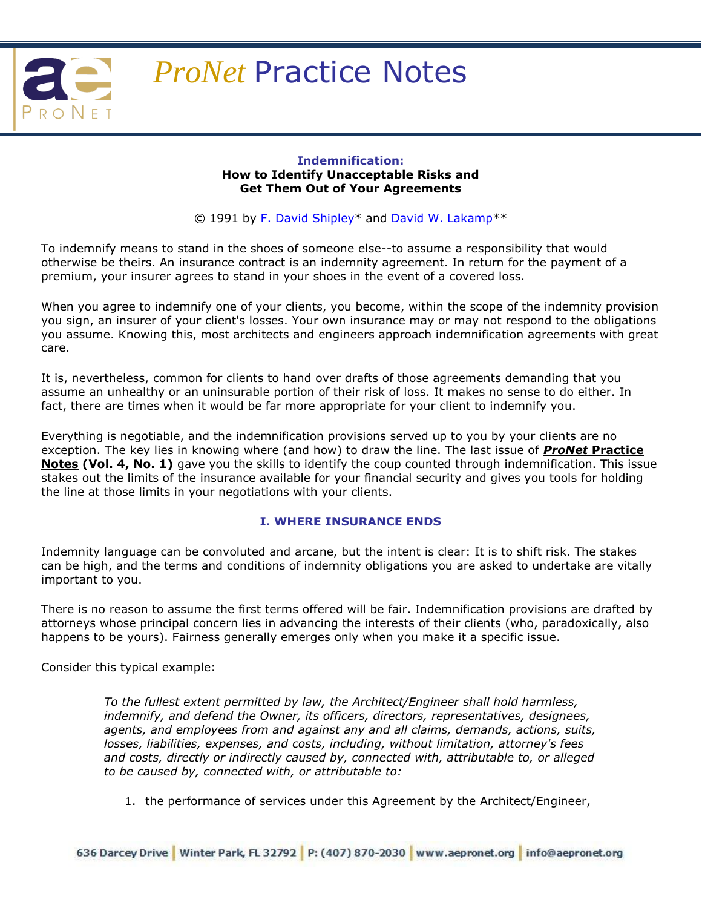

#### **Indemnification: How to Identify Unacceptable Risks and Get Them Out of Your Agreements**

© 1991 by [F. David Shipley\\*](http://aepronet.org/pn/vol4-no2.html#Shipley#Shipley) and [David W. Lakamp\\*](http://aepronet.org/pn/vol4-no2.html#Lakamp#Lakamp)\*

To indemnify means to stand in the shoes of someone else--to assume a responsibility that would otherwise be theirs. An insurance contract is an indemnity agreement. In return for the payment of a premium, your insurer agrees to stand in your shoes in the event of a covered loss.

When you agree to indemnify one of your clients, you become, within the scope of the indemnity provision you sign, an insurer of your client's losses. Your own insurance may or may not respond to the obligations you assume. Knowing this, most architects and engineers approach indemnification agreements with great care.

It is, nevertheless, common for clients to hand over drafts of those agreements demanding that you assume an unhealthy or an uninsurable portion of their risk of loss. It makes no sense to do either. In fact, there are times when it would be far more appropriate for your client to indemnify you.

Everything is negotiable, and the indemnification provisions served up to you by your clients are no exception. The key lies in knowing where (and how) to draw the line. The last issue of *ProNet* **Practice Notes (Vol. 4, No. 1)** gave you the skills to identify the coup counted through indemnification. This issue stakes out the limits of the insurance available for your financial security and gives you tools for holding the line at those limits in your negotiations with your clients.

## **I. WHERE INSURANCE ENDS**

Indemnity language can be convoluted and arcane, but the intent is clear: It is to shift risk. The stakes can be high, and the terms and conditions of indemnity obligations you are asked to undertake are vitally important to you.

There is no reason to assume the first terms offered will be fair. Indemnification provisions are drafted by attorneys whose principal concern lies in advancing the interests of their clients (who, paradoxically, also happens to be yours). Fairness generally emerges only when you make it a specific issue.

Consider this typical example:

*To the fullest extent permitted by law, the Architect/Engineer shall hold harmless, indemnify, and defend the Owner, its officers, directors, representatives, designees, agents, and employees from and against any and all claims, demands, actions, suits, losses, liabilities, expenses, and costs, including, without limitation, attorney's fees and costs, directly or indirectly caused by, connected with, attributable to, or alleged to be caused by, connected with, or attributable to:* 

1. the performance of services under this Agreement by the Architect/Engineer,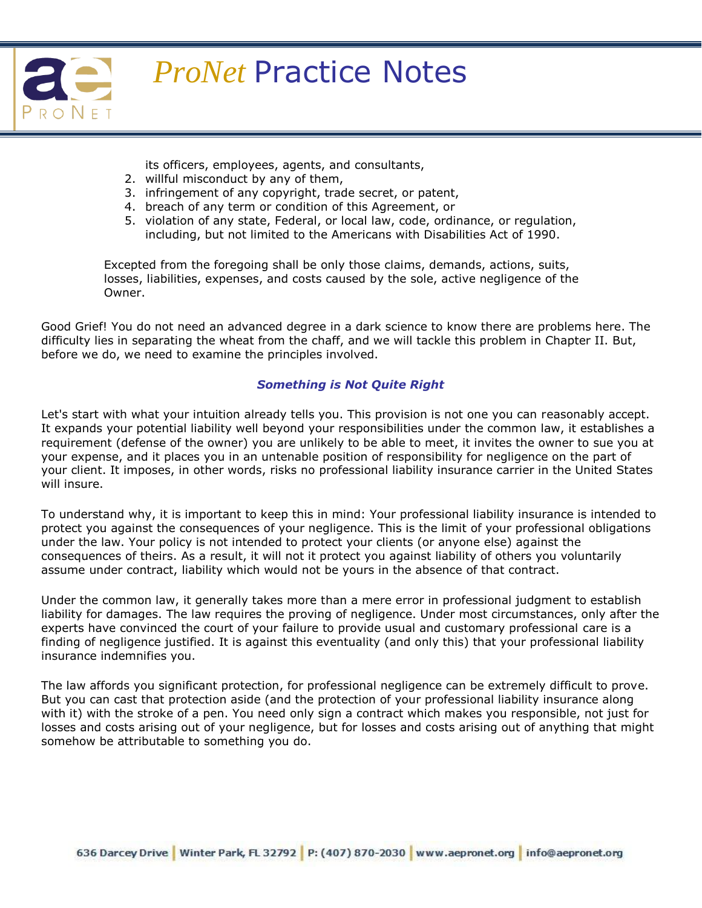

its officers, employees, agents, and consultants,

- 2. willful misconduct by any of them,
- 3. infringement of any copyright, trade secret, or patent,
- 4. breach of any term or condition of this Agreement, or
- 5. violation of any state, Federal, or local law, code, ordinance, or regulation, including, but not limited to the Americans with Disabilities Act of 1990.

Excepted from the foregoing shall be only those claims, demands, actions, suits, losses, liabilities, expenses, and costs caused by the sole, active negligence of the Owner.

Good Grief! You do not need an advanced degree in a dark science to know there are problems here. The difficulty lies in separating the wheat from the chaff, and we will tackle this problem in Chapter II. But, before we do, we need to examine the principles involved.

## *Something is Not Quite Right*

Let's start with what your intuition already tells you. This provision is not one you can reasonably accept. It expands your potential liability well beyond your responsibilities under the common law, it establishes a requirement (defense of the owner) you are unlikely to be able to meet, it invites the owner to sue you at your expense, and it places you in an untenable position of responsibility for negligence on the part of your client. It imposes, in other words, risks no professional liability insurance carrier in the United States will insure.

To understand why, it is important to keep this in mind: Your professional liability insurance is intended to protect you against the consequences of your negligence. This is the limit of your professional obligations under the law. Your policy is not intended to protect your clients (or anyone else) against the consequences of theirs. As a result, it will not it protect you against liability of others you voluntarily assume under contract, liability which would not be yours in the absence of that contract.

Under the common law, it generally takes more than a mere error in professional judgment to establish liability for damages. The law requires the proving of negligence. Under most circumstances, only after the experts have convinced the court of your failure to provide usual and customary professional care is a finding of negligence justified. It is against this eventuality (and only this) that your professional liability insurance indemnifies you.

The law affords you significant protection, for professional negligence can be extremely difficult to prove. But you can cast that protection aside (and the protection of your professional liability insurance along with it) with the stroke of a pen. You need only sign a contract which makes you responsible, not just for losses and costs arising out of your negligence, but for losses and costs arising out of anything that might somehow be attributable to something you do.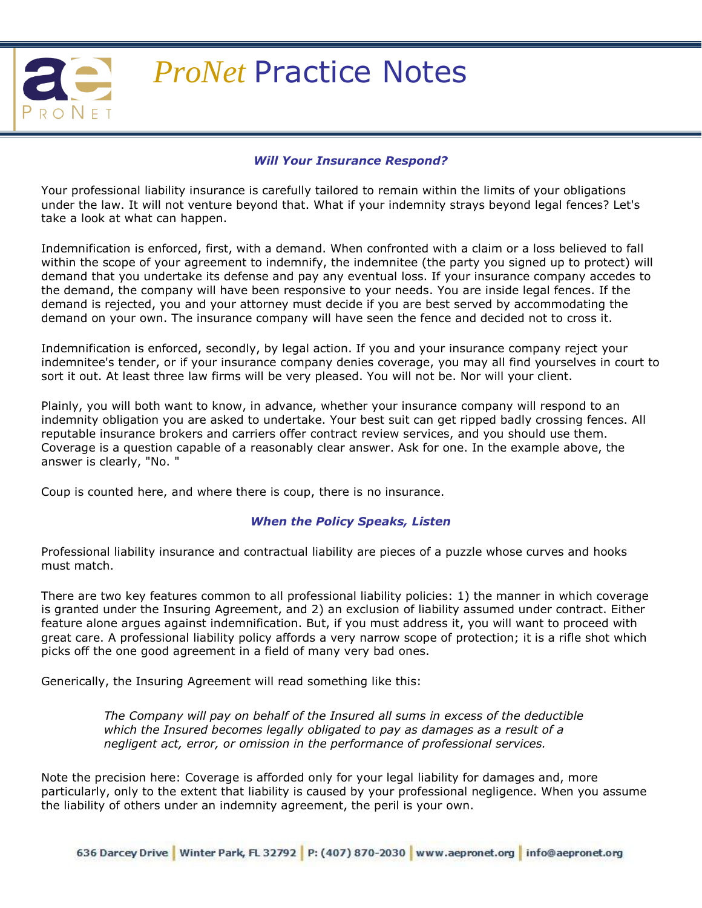

### *Will Your Insurance Respond?*

Your professional liability insurance is carefully tailored to remain within the limits of your obligations under the law. It will not venture beyond that. What if your indemnity strays beyond legal fences? Let's take a look at what can happen.

Indemnification is enforced, first, with a demand. When confronted with a claim or a loss believed to fall within the scope of your agreement to indemnify, the indemnitee (the party you signed up to protect) will demand that you undertake its defense and pay any eventual loss. If your insurance company accedes to the demand, the company will have been responsive to your needs. You are inside legal fences. If the demand is rejected, you and your attorney must decide if you are best served by accommodating the demand on your own. The insurance company will have seen the fence and decided not to cross it.

Indemnification is enforced, secondly, by legal action. If you and your insurance company reject your indemnitee's tender, or if your insurance company denies coverage, you may all find yourselves in court to sort it out. At least three law firms will be very pleased. You will not be. Nor will your client.

Plainly, you will both want to know, in advance, whether your insurance company will respond to an indemnity obligation you are asked to undertake. Your best suit can get ripped badly crossing fences. All reputable insurance brokers and carriers offer contract review services, and you should use them. Coverage is a question capable of a reasonably clear answer. Ask for one. In the example above, the answer is clearly, "No. "

Coup is counted here, and where there is coup, there is no insurance.

#### *When the Policy Speaks, Listen*

Professional liability insurance and contractual liability are pieces of a puzzle whose curves and hooks must match.

There are two key features common to all professional liability policies: 1) the manner in which coverage is granted under the Insuring Agreement, and 2) an exclusion of liability assumed under contract. Either feature alone argues against indemnification. But, if you must address it, you will want to proceed with great care. A professional liability policy affords a very narrow scope of protection; it is a rifle shot which picks off the one good agreement in a field of many very bad ones.

Generically, the Insuring Agreement will read something like this:

*The Company will pay on behalf of the Insured all sums in excess of the deductible which the Insured becomes legally obligated to pay as damages as a result of a negligent act, error, or omission in the performance of professional services.*

Note the precision here: Coverage is afforded only for your legal liability for damages and, more particularly, only to the extent that liability is caused by your professional negligence. When you assume the liability of others under an indemnity agreement, the peril is your own.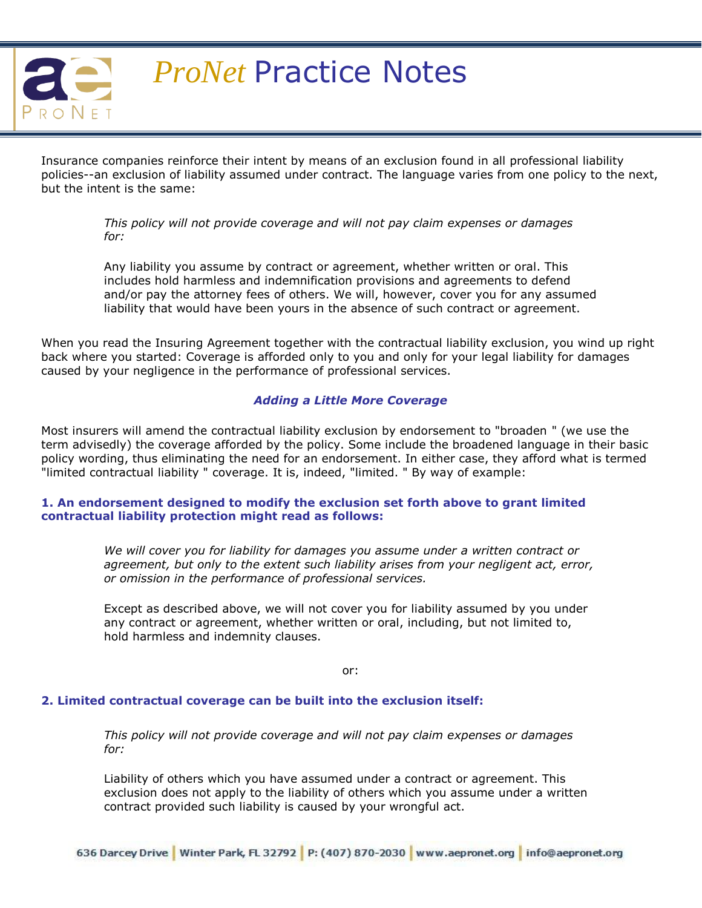

Insurance companies reinforce their intent by means of an exclusion found in all professional liability policies--an exclusion of liability assumed under contract. The language varies from one policy to the next, but the intent is the same:

> *This policy will not provide coverage and will not pay claim expenses or damages for:*

Any liability you assume by contract or agreement, whether written or oral. This includes hold harmless and indemnification provisions and agreements to defend and/or pay the attorney fees of others. We will, however, cover you for any assumed liability that would have been yours in the absence of such contract or agreement.

When you read the Insuring Agreement together with the contractual liability exclusion, you wind up right back where you started: Coverage is afforded only to you and only for your legal liability for damages caused by your negligence in the performance of professional services.

#### *Adding a Little More Coverage*

Most insurers will amend the contractual liability exclusion by endorsement to "broaden " (we use the term advisedly) the coverage afforded by the policy. Some include the broadened language in their basic policy wording, thus eliminating the need for an endorsement. In either case, they afford what is termed "limited contractual liability " coverage. It is, indeed, "limited. " By way of example:

#### **1. An endorsement designed to modify the exclusion set forth above to grant limited contractual liability protection might read as follows:**

*We will cover you for liability for damages you assume under a written contract or agreement, but only to the extent such liability arises from your negligent act, error, or omission in the performance of professional services.*

Except as described above, we will not cover you for liability assumed by you under any contract or agreement, whether written or oral, including, but not limited to, hold harmless and indemnity clauses.

or:

#### **2. Limited contractual coverage can be built into the exclusion itself:**

*This policy will not provide coverage and will not pay claim expenses or damages for:*

Liability of others which you have assumed under a contract or agreement. This exclusion does not apply to the liability of others which you assume under a written contract provided such liability is caused by your wrongful act.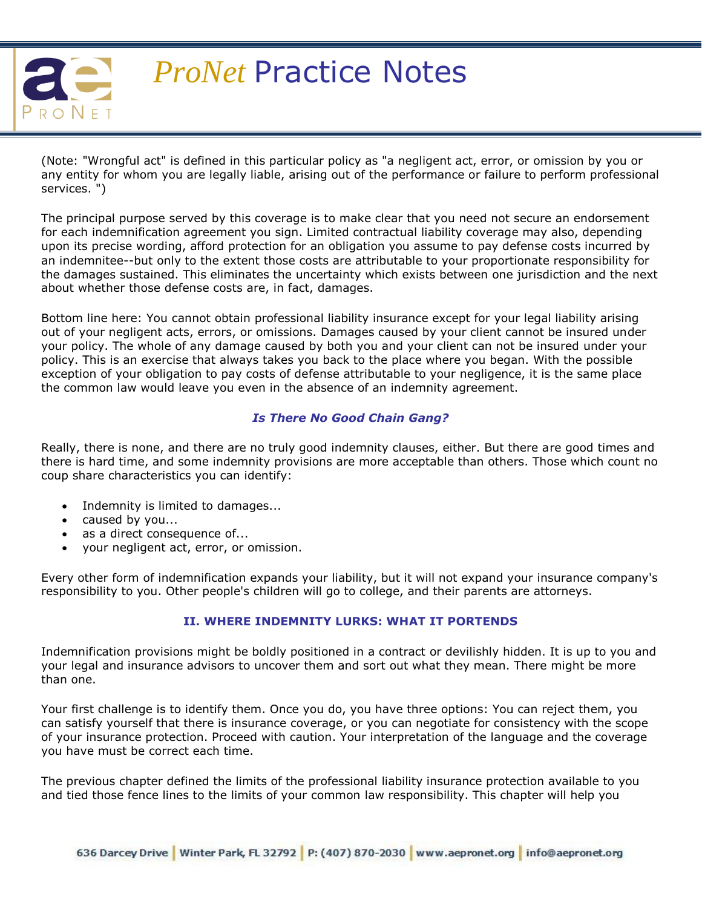

(Note: "Wrongful act" is defined in this particular policy as "a negligent act, error, or omission by you or any entity for whom you are legally liable, arising out of the performance or failure to perform professional services. ")

The principal purpose served by this coverage is to make clear that you need not secure an endorsement for each indemnification agreement you sign. Limited contractual liability coverage may also, depending upon its precise wording, afford protection for an obligation you assume to pay defense costs incurred by an indemnitee--but only to the extent those costs are attributable to your proportionate responsibility for the damages sustained. This eliminates the uncertainty which exists between one jurisdiction and the next about whether those defense costs are, in fact, damages.

Bottom line here: You cannot obtain professional liability insurance except for your legal liability arising out of your negligent acts, errors, or omissions. Damages caused by your client cannot be insured under your policy. The whole of any damage caused by both you and your client can not be insured under your policy. This is an exercise that always takes you back to the place where you began. With the possible exception of your obligation to pay costs of defense attributable to your negligence, it is the same place the common law would leave you even in the absence of an indemnity agreement.

## *Is There No Good Chain Gang?*

Really, there is none, and there are no truly good indemnity clauses, either. But there are good times and there is hard time, and some indemnity provisions are more acceptable than others. Those which count no coup share characteristics you can identify:

- Indemnity is limited to damages...
- caused by you...
- as a direct consequence of...
- your negligent act, error, or omission.

Every other form of indemnification expands your liability, but it will not expand your insurance company's responsibility to you. Other people's children will go to college, and their parents are attorneys.

## **II. WHERE INDEMNITY LURKS: WHAT IT PORTENDS**

Indemnification provisions might be boldly positioned in a contract or devilishly hidden. It is up to you and your legal and insurance advisors to uncover them and sort out what they mean. There might be more than one.

Your first challenge is to identify them. Once you do, you have three options: You can reject them, you can satisfy yourself that there is insurance coverage, or you can negotiate for consistency with the scope of your insurance protection. Proceed with caution. Your interpretation of the language and the coverage you have must be correct each time.

The previous chapter defined the limits of the professional liability insurance protection available to you and tied those fence lines to the limits of your common law responsibility. This chapter will help you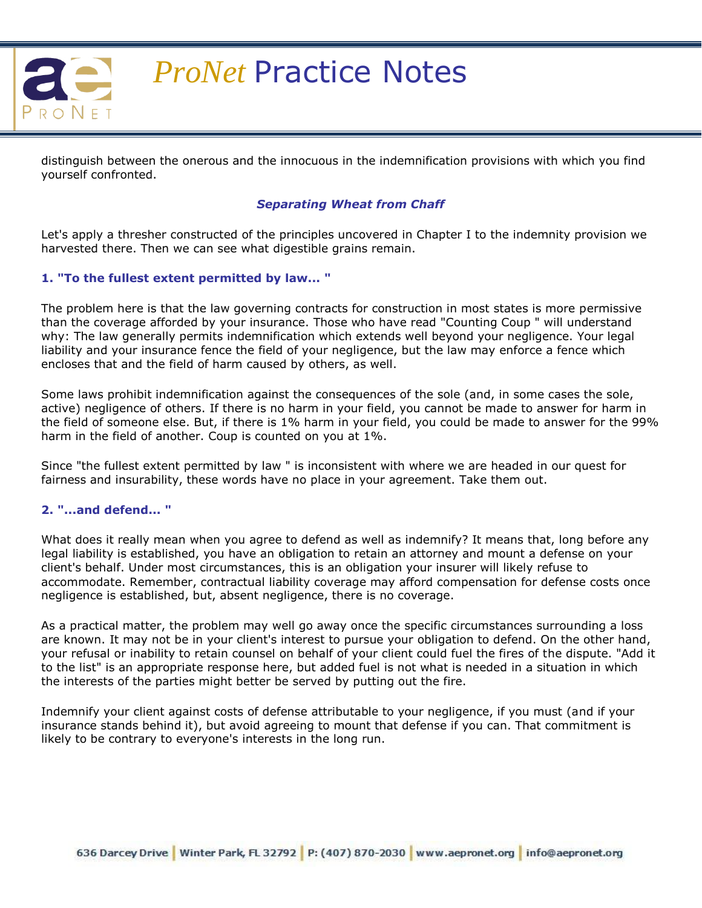

distinguish between the onerous and the innocuous in the indemnification provisions with which you find yourself confronted.

## *Separating Wheat from Chaff*

Let's apply a thresher constructed of the principles uncovered in Chapter I to the indemnity provision we harvested there. Then we can see what digestible grains remain.

#### **1. "To the fullest extent permitted by law... "**

The problem here is that the law governing contracts for construction in most states is more permissive than the coverage afforded by your insurance. Those who have read "Counting Coup " will understand why: The law generally permits indemnification which extends well beyond your negligence. Your legal liability and your insurance fence the field of your negligence, but the law may enforce a fence which encloses that and the field of harm caused by others, as well.

Some laws prohibit indemnification against the consequences of the sole (and, in some cases the sole, active) negligence of others. If there is no harm in your field, you cannot be made to answer for harm in the field of someone else. But, if there is 1% harm in your field, you could be made to answer for the 99% harm in the field of another. Coup is counted on you at 1%.

Since "the fullest extent permitted by law " is inconsistent with where we are headed in our quest for fairness and insurability, these words have no place in your agreement. Take them out.

#### **2. "...and defend... "**

What does it really mean when you agree to defend as well as indemnify? It means that, long before any legal liability is established, you have an obligation to retain an attorney and mount a defense on your client's behalf. Under most circumstances, this is an obligation your insurer will likely refuse to accommodate. Remember, contractual liability coverage may afford compensation for defense costs once negligence is established, but, absent negligence, there is no coverage.

As a practical matter, the problem may well go away once the specific circumstances surrounding a loss are known. It may not be in your client's interest to pursue your obligation to defend. On the other hand, your refusal or inability to retain counsel on behalf of your client could fuel the fires of the dispute. "Add it to the list" is an appropriate response here, but added fuel is not what is needed in a situation in which the interests of the parties might better be served by putting out the fire.

Indemnify your client against costs of defense attributable to your negligence, if you must (and if your insurance stands behind it), but avoid agreeing to mount that defense if you can. That commitment is likely to be contrary to everyone's interests in the long run.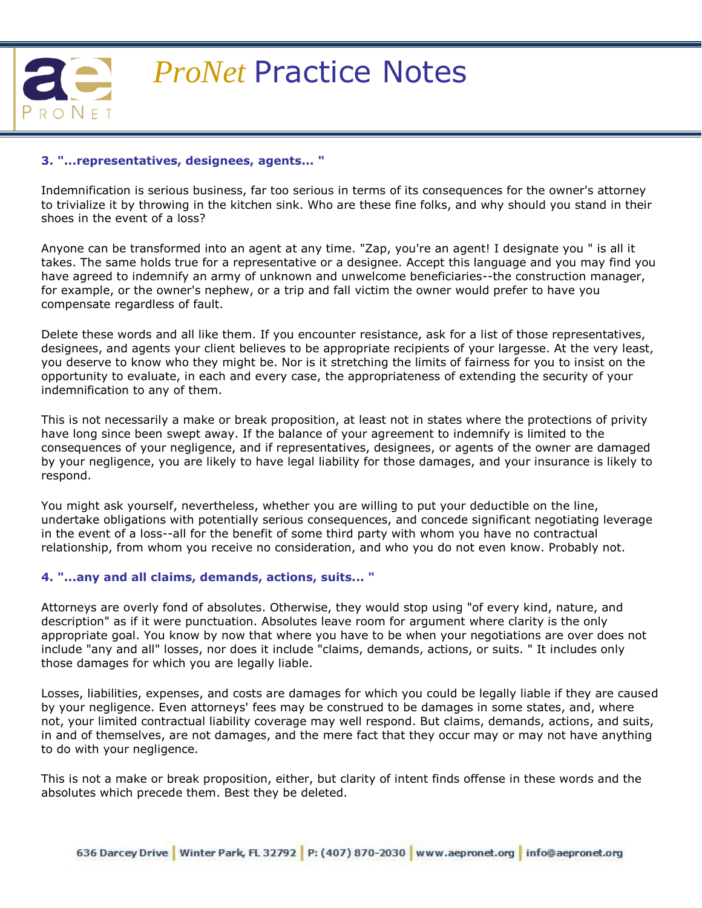

#### **3. "...representatives, designees, agents... "**

Indemnification is serious business, far too serious in terms of its consequences for the owner's attorney to trivialize it by throwing in the kitchen sink. Who are these fine folks, and why should you stand in their shoes in the event of a loss?

Anyone can be transformed into an agent at any time. "Zap, you're an agent! I designate you " is all it takes. The same holds true for a representative or a designee. Accept this language and you may find you have agreed to indemnify an army of unknown and unwelcome beneficiaries--the construction manager, for example, or the owner's nephew, or a trip and fall victim the owner would prefer to have you compensate regardless of fault.

Delete these words and all like them. If you encounter resistance, ask for a list of those representatives, designees, and agents your client believes to be appropriate recipients of your largesse. At the very least, you deserve to know who they might be. Nor is it stretching the limits of fairness for you to insist on the opportunity to evaluate, in each and every case, the appropriateness of extending the security of your indemnification to any of them.

This is not necessarily a make or break proposition, at least not in states where the protections of privity have long since been swept away. If the balance of your agreement to indemnify is limited to the consequences of your negligence, and if representatives, designees, or agents of the owner are damaged by your negligence, you are likely to have legal liability for those damages, and your insurance is likely to respond.

You might ask yourself, nevertheless, whether you are willing to put your deductible on the line, undertake obligations with potentially serious consequences, and concede significant negotiating leverage in the event of a loss--all for the benefit of some third party with whom you have no contractual relationship, from whom you receive no consideration, and who you do not even know. Probably not.

#### **4. "...any and all claims, demands, actions, suits... "**

Attorneys are overly fond of absolutes. Otherwise, they would stop using "of every kind, nature, and description" as if it were punctuation. Absolutes leave room for argument where clarity is the only appropriate goal. You know by now that where you have to be when your negotiations are over does not include "any and all" losses, nor does it include "claims, demands, actions, or suits. " It includes only those damages for which you are legally liable.

Losses, liabilities, expenses, and costs are damages for which you could be legally liable if they are caused by your negligence. Even attorneys' fees may be construed to be damages in some states, and, where not, your limited contractual liability coverage may well respond. But claims, demands, actions, and suits, in and of themselves, are not damages, and the mere fact that they occur may or may not have anything to do with your negligence.

This is not a make or break proposition, either, but clarity of intent finds offense in these words and the absolutes which precede them. Best they be deleted.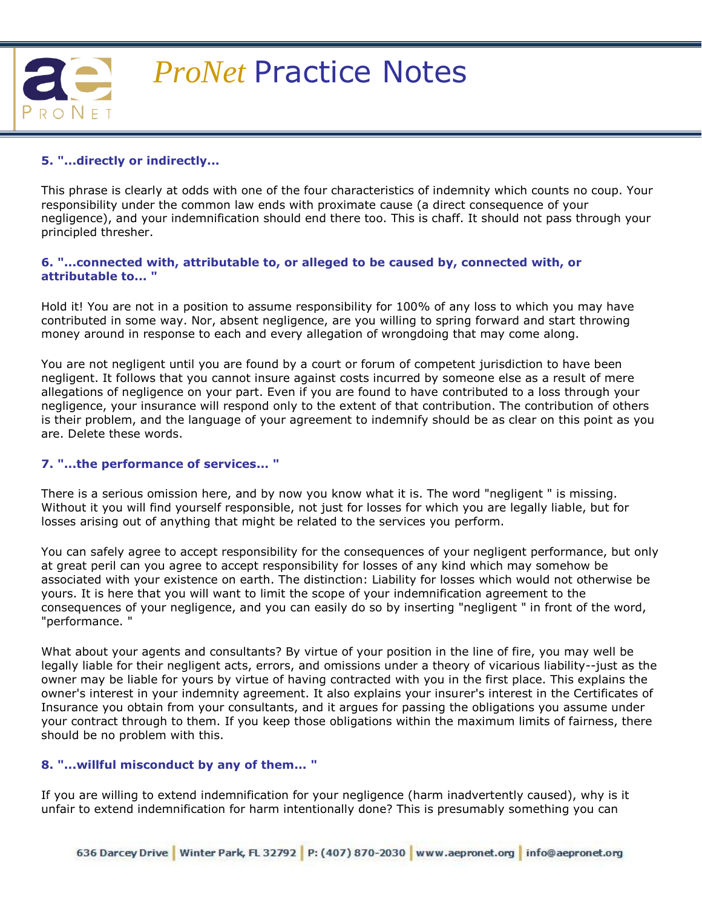

## **5. "...directly or indirectly...**

This phrase is clearly at odds with one of the four characteristics of indemnity which counts no coup. Your responsibility under the common law ends with proximate cause (a direct consequence of your negligence), and your indemnification should end there too. This is chaff. It should not pass through your principled thresher.

#### **6. "...connected with, attributable to, or alleged to be caused by, connected with, or attributable to... "**

Hold it! You are not in a position to assume responsibility for 100% of any loss to which you may have contributed in some way. Nor, absent negligence, are you willing to spring forward and start throwing money around in response to each and every allegation of wrongdoing that may come along.

You are not negligent until you are found by a court or forum of competent jurisdiction to have been negligent. It follows that you cannot insure against costs incurred by someone else as a result of mere allegations of negligence on your part. Even if you are found to have contributed to a loss through your negligence, your insurance will respond only to the extent of that contribution. The contribution of others is their problem, and the language of your agreement to indemnify should be as clear on this point as you are. Delete these words.

## **7. "...the performance of services... "**

There is a serious omission here, and by now you know what it is. The word "negligent " is missing. Without it you will find yourself responsible, not just for losses for which you are legally liable, but for losses arising out of anything that might be related to the services you perform.

You can safely agree to accept responsibility for the consequences of your negligent performance, but only at great peril can you agree to accept responsibility for losses of any kind which may somehow be associated with your existence on earth. The distinction: Liability for losses which would not otherwise be yours. It is here that you will want to limit the scope of your indemnification agreement to the consequences of your negligence, and you can easily do so by inserting "negligent " in front of the word, "performance. "

What about your agents and consultants? By virtue of your position in the line of fire, you may well be legally liable for their negligent acts, errors, and omissions under a theory of vicarious liability--just as the owner may be liable for yours by virtue of having contracted with you in the first place. This explains the owner's interest in your indemnity agreement. It also explains your insurer's interest in the Certificates of Insurance you obtain from your consultants, and it argues for passing the obligations you assume under your contract through to them. If you keep those obligations within the maximum limits of fairness, there should be no problem with this.

## **8. "...willful misconduct by any of them... "**

If you are willing to extend indemnification for your negligence (harm inadvertently caused), why is it unfair to extend indemnification for harm intentionally done? This is presumably something you can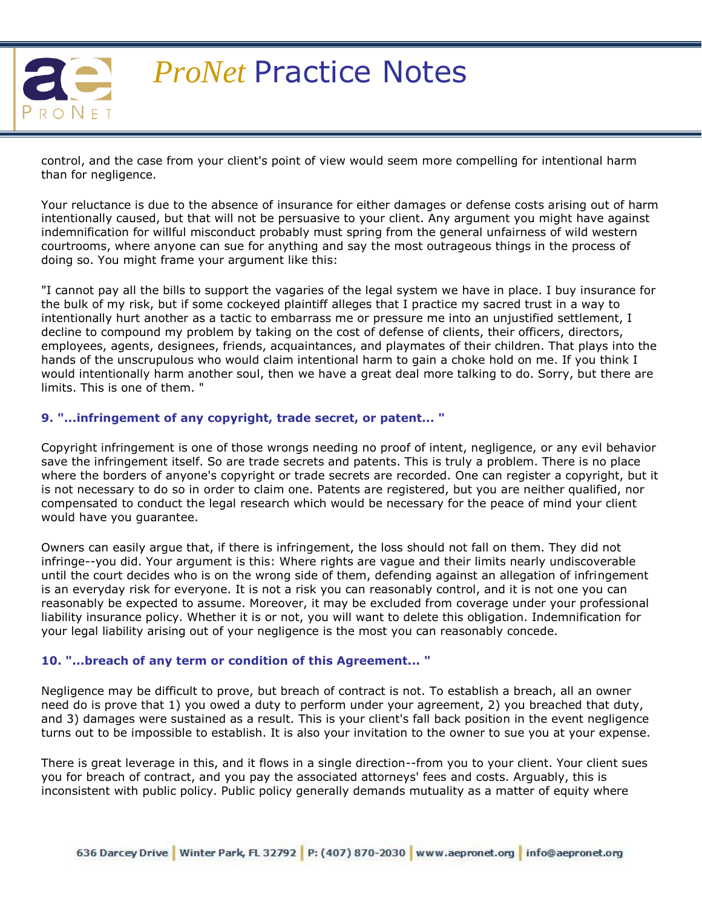

control, and the case from your client's point of view would seem more compelling for intentional harm than for negligence.

Your reluctance is due to the absence of insurance for either damages or defense costs arising out of harm intentionally caused, but that will not be persuasive to your client. Any argument you might have against indemnification for willful misconduct probably must spring from the general unfairness of wild western courtrooms, where anyone can sue for anything and say the most outrageous things in the process of doing so. You might frame your argument like this:

"I cannot pay all the bills to support the vagaries of the legal system we have in place. I buy insurance for the bulk of my risk, but if some cockeyed plaintiff alleges that I practice my sacred trust in a way to intentionally hurt another as a tactic to embarrass me or pressure me into an unjustified settlement, I decline to compound my problem by taking on the cost of defense of clients, their officers, directors, employees, agents, designees, friends, acquaintances, and playmates of their children. That plays into the hands of the unscrupulous who would claim intentional harm to gain a choke hold on me. If you think I would intentionally harm another soul, then we have a great deal more talking to do. Sorry, but there are limits. This is one of them. "

### **9. "...infringement of any copyright, trade secret, or patent... "**

Copyright infringement is one of those wrongs needing no proof of intent, negligence, or any evil behavior save the infringement itself. So are trade secrets and patents. This is truly a problem. There is no place where the borders of anyone's copyright or trade secrets are recorded. One can register a copyright, but it is not necessary to do so in order to claim one. Patents are registered, but you are neither qualified, nor compensated to conduct the legal research which would be necessary for the peace of mind your client would have you guarantee.

Owners can easily argue that, if there is infringement, the loss should not fall on them. They did not infringe--you did. Your argument is this: Where rights are vague and their limits nearly undiscoverable until the court decides who is on the wrong side of them, defending against an allegation of infringement is an everyday risk for everyone. It is not a risk you can reasonably control, and it is not one you can reasonably be expected to assume. Moreover, it may be excluded from coverage under your professional liability insurance policy. Whether it is or not, you will want to delete this obligation. Indemnification for your legal liability arising out of your negligence is the most you can reasonably concede.

## **10. "...breach of any term or condition of this Agreement... "**

Negligence may be difficult to prove, but breach of contract is not. To establish a breach, all an owner need do is prove that 1) you owed a duty to perform under your agreement, 2) you breached that duty, and 3) damages were sustained as a result. This is your client's fall back position in the event negligence turns out to be impossible to establish. It is also your invitation to the owner to sue you at your expense.

There is great leverage in this, and it flows in a single direction--from you to your client. Your client sues you for breach of contract, and you pay the associated attorneys' fees and costs. Arguably, this is inconsistent with public policy. Public policy generally demands mutuality as a matter of equity where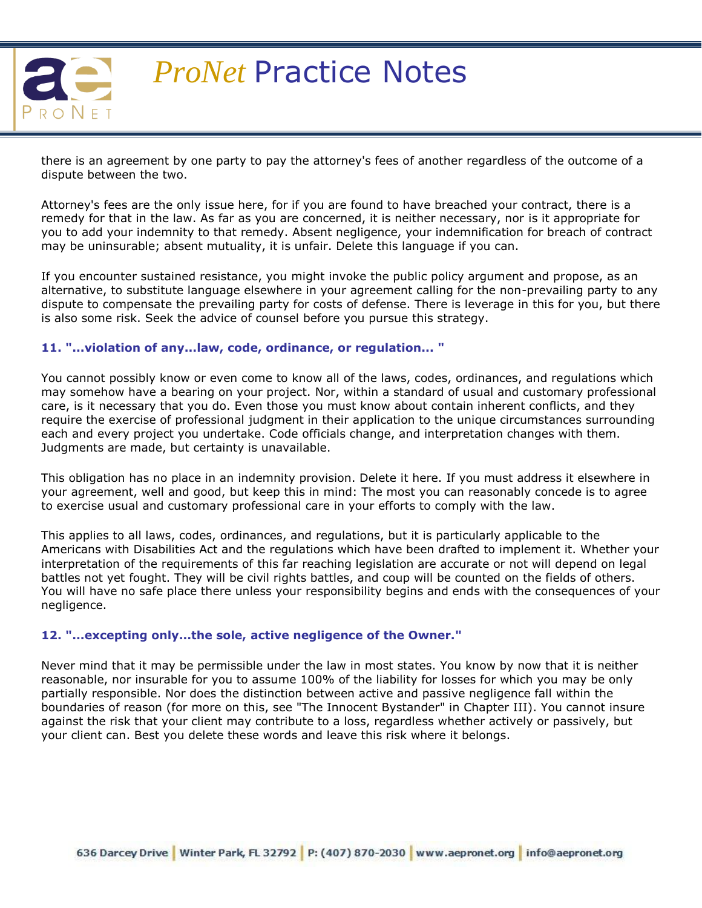

there is an agreement by one party to pay the attorney's fees of another regardless of the outcome of a dispute between the two.

Attorney's fees are the only issue here, for if you are found to have breached your contract, there is a remedy for that in the law. As far as you are concerned, it is neither necessary, nor is it appropriate for you to add your indemnity to that remedy. Absent negligence, your indemnification for breach of contract may be uninsurable; absent mutuality, it is unfair. Delete this language if you can.

If you encounter sustained resistance, you might invoke the public policy argument and propose, as an alternative, to substitute language elsewhere in your agreement calling for the non-prevailing party to any dispute to compensate the prevailing party for costs of defense. There is leverage in this for you, but there is also some risk. Seek the advice of counsel before you pursue this strategy.

#### **11. "...violation of any...law, code, ordinance, or regulation... "**

You cannot possibly know or even come to know all of the laws, codes, ordinances, and regulations which may somehow have a bearing on your project. Nor, within a standard of usual and customary professional care, is it necessary that you do. Even those you must know about contain inherent conflicts, and they require the exercise of professional judgment in their application to the unique circumstances surrounding each and every project you undertake. Code officials change, and interpretation changes with them. Judgments are made, but certainty is unavailable.

This obligation has no place in an indemnity provision. Delete it here. If you must address it elsewhere in your agreement, well and good, but keep this in mind: The most you can reasonably concede is to agree to exercise usual and customary professional care in your efforts to comply with the law.

This applies to all laws, codes, ordinances, and regulations, but it is particularly applicable to the Americans with Disabilities Act and the regulations which have been drafted to implement it. Whether your interpretation of the requirements of this far reaching legislation are accurate or not will depend on legal battles not yet fought. They will be civil rights battles, and coup will be counted on the fields of others. You will have no safe place there unless your responsibility begins and ends with the consequences of your negligence.

#### **12. "...excepting only...the sole, active negligence of the Owner."**

Never mind that it may be permissible under the law in most states. You know by now that it is neither reasonable, nor insurable for you to assume 100% of the liability for losses for which you may be only partially responsible. Nor does the distinction between active and passive negligence fall within the boundaries of reason (for more on this, see "The Innocent Bystander" in Chapter III). You cannot insure against the risk that your client may contribute to a loss, regardless whether actively or passively, but your client can. Best you delete these words and leave this risk where it belongs.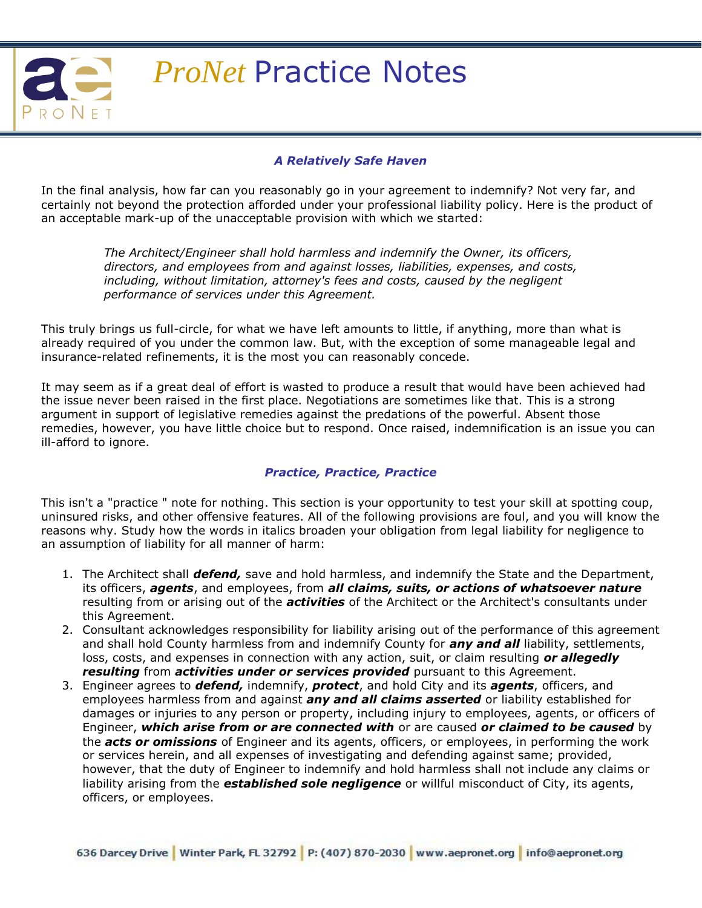

### *A Relatively Safe Haven*

In the final analysis, how far can you reasonably go in your agreement to indemnify? Not very far, and certainly not beyond the protection afforded under your professional liability policy. Here is the product of an acceptable mark-up of the unacceptable provision with which we started:

> *The Architect/Engineer shall hold harmless and indemnify the Owner, its officers, directors, and employees from and against losses, liabilities, expenses, and costs, including, without limitation, attorney's fees and costs, caused by the negligent performance of services under this Agreement.*

This truly brings us full-circle, for what we have left amounts to little, if anything, more than what is already required of you under the common law. But, with the exception of some manageable legal and insurance-related refinements, it is the most you can reasonably concede.

It may seem as if a great deal of effort is wasted to produce a result that would have been achieved had the issue never been raised in the first place. Negotiations are sometimes like that. This is a strong argument in support of legislative remedies against the predations of the powerful. Absent those remedies, however, you have little choice but to respond. Once raised, indemnification is an issue you can ill-afford to ignore.

## *Practice, Practice, Practice*

This isn't a "practice " note for nothing. This section is your opportunity to test your skill at spotting coup, uninsured risks, and other offensive features. All of the following provisions are foul, and you will know the reasons why. Study how the words in italics broaden your obligation from legal liability for negligence to an assumption of liability for all manner of harm:

- 1. The Architect shall *defend,* save and hold harmless, and indemnify the State and the Department, its officers, *agents*, and employees, from *all claims, suits, or actions of whatsoever nature* resulting from or arising out of the *activities* of the Architect or the Architect's consultants under this Agreement.
- 2. Consultant acknowledges responsibility for liability arising out of the performance of this agreement and shall hold County harmless from and indemnify County for *any and all* liability, settlements, loss, costs, and expenses in connection with any action, suit, or claim resulting *or allegedly resulting* from *activities under or services provided* pursuant to this Agreement.
- 3. Engineer agrees to *defend,* indemnify, *protect*, and hold City and its *agents*, officers, and employees harmless from and against *any and all claims asserted* or liability established for damages or injuries to any person or property, including injury to employees, agents, or officers of Engineer, *which arise from or are connected with* or are caused *or claimed to be caused* by the *acts or omissions* of Engineer and its agents, officers, or employees, in performing the work or services herein, and all expenses of investigating and defending against same; provided, however, that the duty of Engineer to indemnify and hold harmless shall not include any claims or liability arising from the *established sole negligence* or willful misconduct of City, its agents, officers, or employees.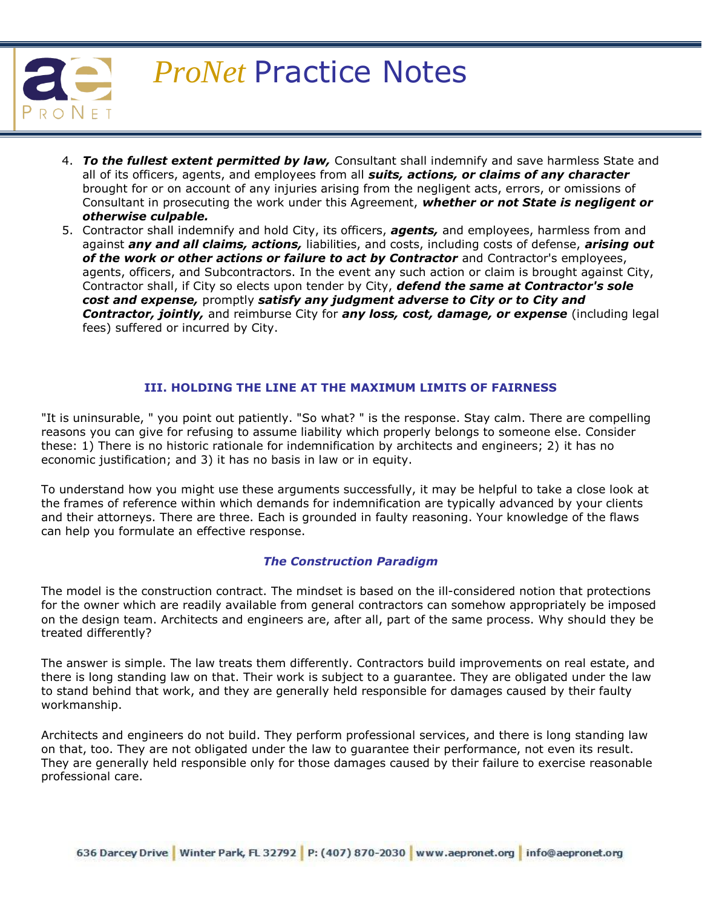

- 4. *To the fullest extent permitted by law,* Consultant shall indemnify and save harmless State and all of its officers, agents, and employees from all *suits, actions, or claims of any character* brought for or on account of any injuries arising from the negligent acts, errors, or omissions of Consultant in prosecuting the work under this Agreement, *whether or not State is negligent or otherwise culpable.*
- 5. Contractor shall indemnify and hold City, its officers, *agents,* and employees, harmless from and against *any and all claims, actions,* liabilities, and costs, including costs of defense, *arising out*  of the work or other actions or failure to act by Contractor and Contractor's employees, agents, officers, and Subcontractors. In the event any such action or claim is brought against City, Contractor shall, if City so elects upon tender by City, *defend the same at Contractor's sole cost and expense,* promptly *satisfy any judgment adverse to City or to City and Contractor, jointly,* and reimburse City for *any loss, cost, damage, or expense* (including legal fees) suffered or incurred by City.

### **III. HOLDING THE LINE AT THE MAXIMUM LIMITS OF FAIRNESS**

"It is uninsurable, " you point out patiently. "So what? " is the response. Stay calm. There are compelling reasons you can give for refusing to assume liability which properly belongs to someone else. Consider these: 1) There is no historic rationale for indemnification by architects and engineers; 2) it has no economic justification; and 3) it has no basis in law or in equity.

To understand how you might use these arguments successfully, it may be helpful to take a close look at the frames of reference within which demands for indemnification are typically advanced by your clients and their attorneys. There are three. Each is grounded in faulty reasoning. Your knowledge of the flaws can help you formulate an effective response.

#### *The Construction Paradigm*

The model is the construction contract. The mindset is based on the ill-considered notion that protections for the owner which are readily available from general contractors can somehow appropriately be imposed on the design team. Architects and engineers are, after all, part of the same process. Why should they be treated differently?

The answer is simple. The law treats them differently. Contractors build improvements on real estate, and there is long standing law on that. Their work is subject to a guarantee. They are obligated under the law to stand behind that work, and they are generally held responsible for damages caused by their faulty workmanship.

Architects and engineers do not build. They perform professional services, and there is long standing law on that, too. They are not obligated under the law to guarantee their performance, not even its result. They are generally held responsible only for those damages caused by their failure to exercise reasonable professional care.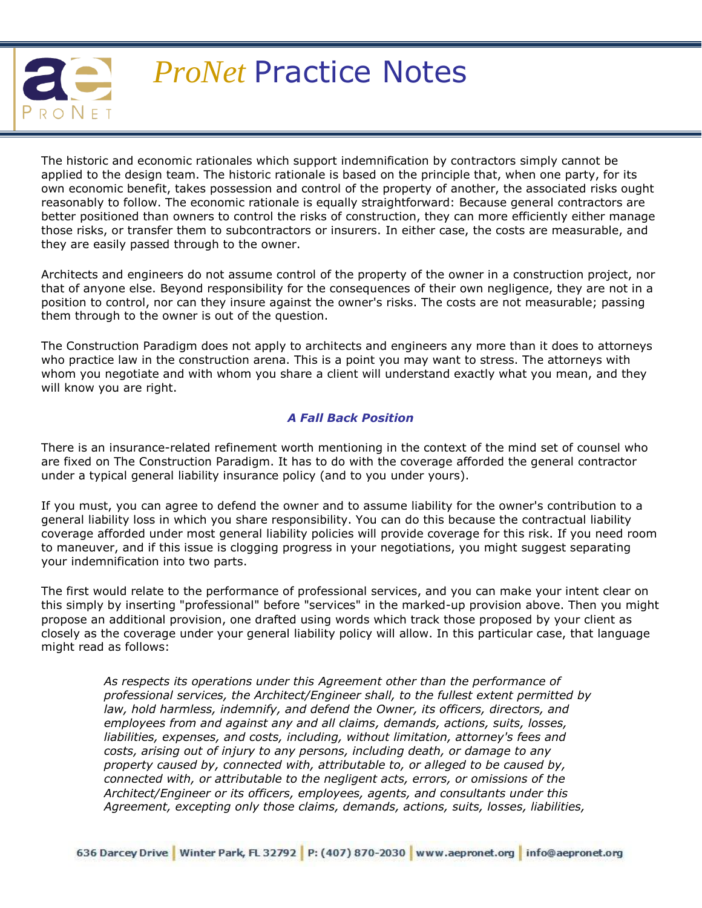

The historic and economic rationales which support indemnification by contractors simply cannot be applied to the design team. The historic rationale is based on the principle that, when one party, for its own economic benefit, takes possession and control of the property of another, the associated risks ought reasonably to follow. The economic rationale is equally straightforward: Because general contractors are better positioned than owners to control the risks of construction, they can more efficiently either manage those risks, or transfer them to subcontractors or insurers. In either case, the costs are measurable, and they are easily passed through to the owner.

Architects and engineers do not assume control of the property of the owner in a construction project, nor that of anyone else. Beyond responsibility for the consequences of their own negligence, they are not in a position to control, nor can they insure against the owner's risks. The costs are not measurable; passing them through to the owner is out of the question.

The Construction Paradigm does not apply to architects and engineers any more than it does to attorneys who practice law in the construction arena. This is a point you may want to stress. The attorneys with whom you negotiate and with whom you share a client will understand exactly what you mean, and they will know you are right.

## *A Fall Back Position*

There is an insurance-related refinement worth mentioning in the context of the mind set of counsel who are fixed on The Construction Paradigm. It has to do with the coverage afforded the general contractor under a typical general liability insurance policy (and to you under yours).

If you must, you can agree to defend the owner and to assume liability for the owner's contribution to a general liability loss in which you share responsibility. You can do this because the contractual liability coverage afforded under most general liability policies will provide coverage for this risk. If you need room to maneuver, and if this issue is clogging progress in your negotiations, you might suggest separating your indemnification into two parts.

The first would relate to the performance of professional services, and you can make your intent clear on this simply by inserting "professional" before "services" in the marked-up provision above. Then you might propose an additional provision, one drafted using words which track those proposed by your client as closely as the coverage under your general liability policy will allow. In this particular case, that language might read as follows:

> *As respects its operations under this Agreement other than the performance of professional services, the Architect/Engineer shall, to the fullest extent permitted by law, hold harmless, indemnify, and defend the Owner, its officers, directors, and employees from and against any and all claims, demands, actions, suits, losses, liabilities, expenses, and costs, including, without limitation, attorney's fees and costs, arising out of injury to any persons, including death, or damage to any property caused by, connected with, attributable to, or alleged to be caused by, connected with, or attributable to the negligent acts, errors, or omissions of the Architect/Engineer or its officers, employees, agents, and consultants under this Agreement, excepting only those claims, demands, actions, suits, losses, liabilities,*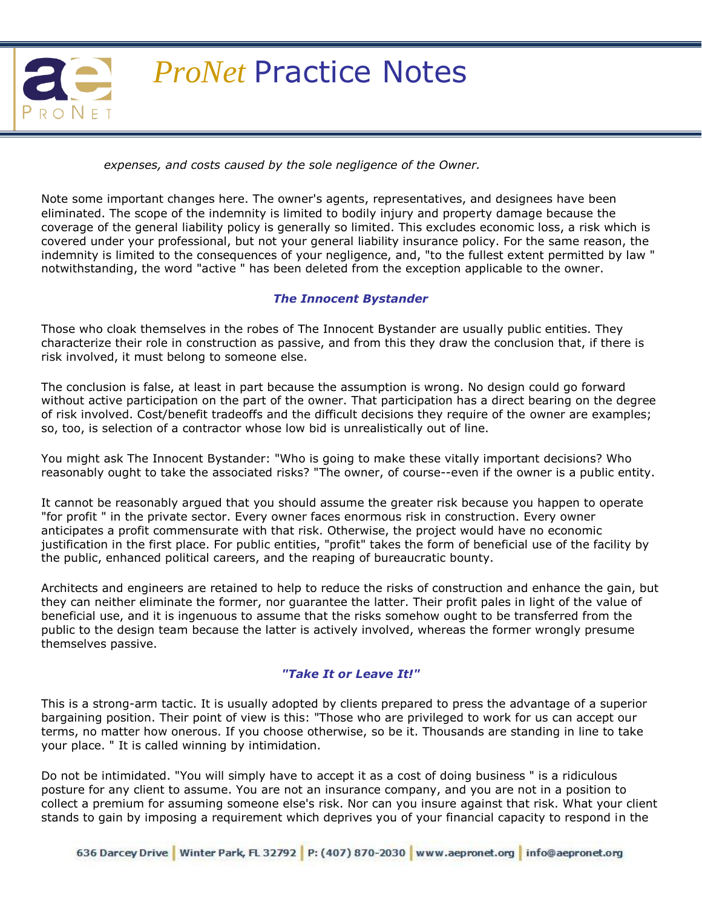

*expenses, and costs caused by the sole negligence of the Owner.* 

Note some important changes here. The owner's agents, representatives, and designees have been eliminated. The scope of the indemnity is limited to bodily injury and property damage because the coverage of the general liability policy is generally so limited. This excludes economic loss, a risk which is covered under your professional, but not your general liability insurance policy. For the same reason, the indemnity is limited to the consequences of your negligence, and, "to the fullest extent permitted by law " notwithstanding, the word "active " has been deleted from the exception applicable to the owner.

### *The Innocent Bystander*

Those who cloak themselves in the robes of The Innocent Bystander are usually public entities. They characterize their role in construction as passive, and from this they draw the conclusion that, if there is risk involved, it must belong to someone else.

The conclusion is false, at least in part because the assumption is wrong. No design could go forward without active participation on the part of the owner. That participation has a direct bearing on the degree of risk involved. Cost/benefit tradeoffs and the difficult decisions they require of the owner are examples; so, too, is selection of a contractor whose low bid is unrealistically out of line.

You might ask The Innocent Bystander: "Who is going to make these vitally important decisions? Who reasonably ought to take the associated risks? "The owner, of course--even if the owner is a public entity.

It cannot be reasonably argued that you should assume the greater risk because you happen to operate "for profit " in the private sector. Every owner faces enormous risk in construction. Every owner anticipates a profit commensurate with that risk. Otherwise, the project would have no economic justification in the first place. For public entities, "profit" takes the form of beneficial use of the facility by the public, enhanced political careers, and the reaping of bureaucratic bounty.

Architects and engineers are retained to help to reduce the risks of construction and enhance the gain, but they can neither eliminate the former, nor guarantee the latter. Their profit pales in light of the value of beneficial use, and it is ingenuous to assume that the risks somehow ought to be transferred from the public to the design team because the latter is actively involved, whereas the former wrongly presume themselves passive.

## *"Take It or Leave It!"*

This is a strong-arm tactic. It is usually adopted by clients prepared to press the advantage of a superior bargaining position. Their point of view is this: "Those who are privileged to work for us can accept our terms, no matter how onerous. If you choose otherwise, so be it. Thousands are standing in line to take your place. " It is called winning by intimidation.

Do not be intimidated. "You will simply have to accept it as a cost of doing business " is a ridiculous posture for any client to assume. You are not an insurance company, and you are not in a position to collect a premium for assuming someone else's risk. Nor can you insure against that risk. What your client stands to gain by imposing a requirement which deprives you of your financial capacity to respond in the